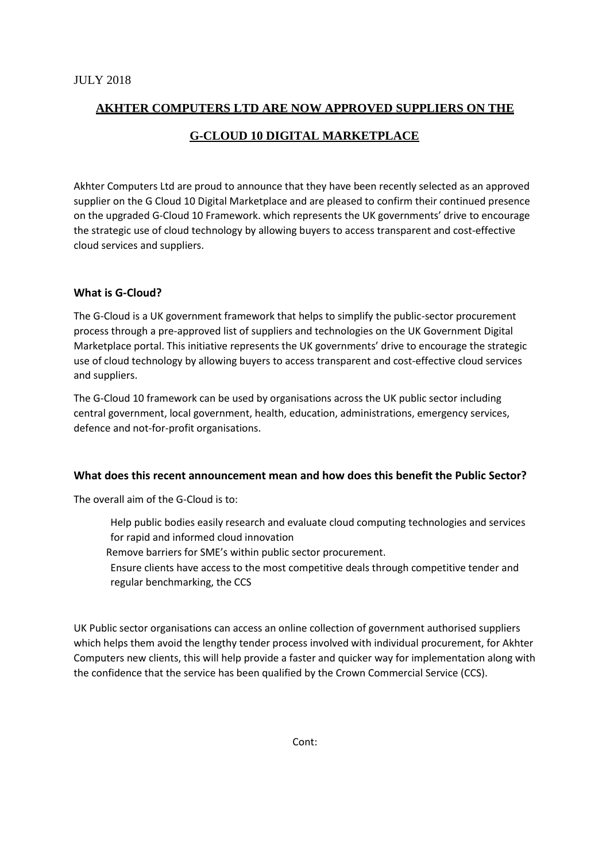## **AKHTER COMPUTERS LTD ARE NOW APPROVED SUPPLIERS ON THE G-CLOUD 10 DIGITAL MARKETPLACE**

Akhter Computers Ltd are proud to announce that they have been recently selected as an approved supplier on the G Cloud 10 Digital Marketplace and are pleased to confirm their continued presence on the upgraded G-Cloud 10 Framework. which represents the UK governments' drive to encourage the strategic use of cloud technology by allowing buyers to access transparent and cost-effective cloud services and suppliers.

## **What is G-Cloud?**

The G-Cloud is a UK government framework that helps to simplify the public-sector procurement process through a pre-approved list of suppliers and technologies on the UK Government Digital Marketplace portal. This initiative represents the UK governments' drive to encourage the strategic use of cloud technology by allowing buyers to access transparent and cost-effective cloud services and suppliers.

The G-Cloud 10 framework can be used by organisations across the UK public sector including central government, local government, health, education, administrations, emergency services, defence and not-for-profit organisations.

## **What does this recent announcement mean and how does this benefit the Public Sector?**

The overall aim of the G-Cloud is to:

- Help public bodies easily research and evaluate cloud computing technologies and services for rapid and informed cloud innovation
- Remove barriers for SME's within public sector procurement.
- Ensure clients have access to the most competitive deals through competitive tender and regular benchmarking, the CCS

UK Public sector organisations can access an online collection of government authorised suppliers which helps them avoid the lengthy tender process involved with individual procurement, for Akhter Computers new clients, this will help provide a faster and quicker way for implementation along with the confidence that the service has been qualified by the Crown Commercial Service (CCS).

Cont: